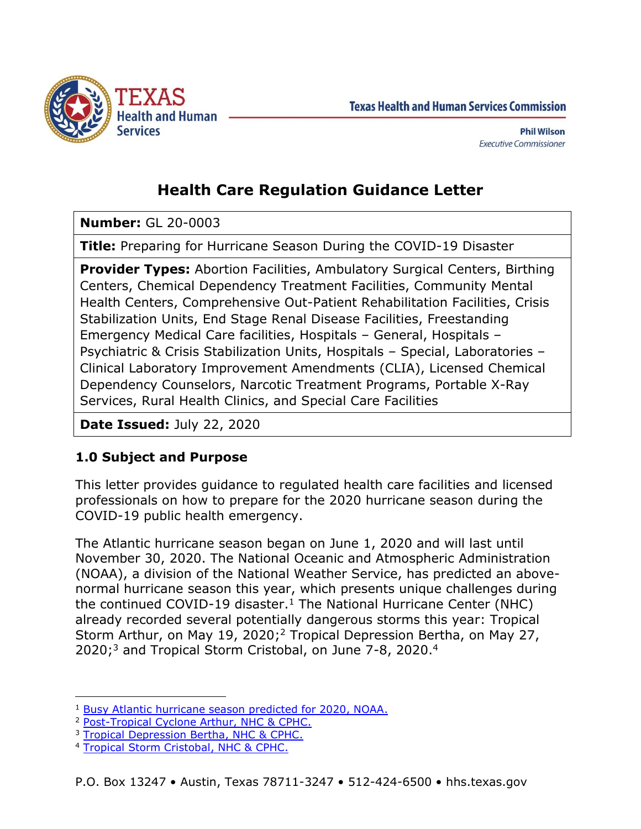

**Texas Health and Human Services Commission** 

# **Health Care Regulation Guidance Letter**

**Number:** GL 20-0003

**Title:** Preparing for Hurricane Season During the COVID-19 Disaster

**Provider Types:** Abortion Facilities, Ambulatory Surgical Centers, Birthing Centers, Chemical Dependency Treatment Facilities, Community Mental Health Centers, Comprehensive Out-Patient Rehabilitation Facilities, Crisis Stabilization Units, End Stage Renal Disease Facilities, Freestanding Emergency Medical Care facilities, Hospitals – General, Hospitals – Psychiatric & Crisis Stabilization Units, Hospitals – Special, Laboratories – Clinical Laboratory Improvement Amendments (CLIA), Licensed Chemical Dependency Counselors, Narcotic Treatment Programs, Portable X-Ray Services, Rural Health Clinics, and Special Care Facilities

**Date Issued:** July 22, 2020

## **1.0 Subject and Purpose**

This letter provides guidance to regulated health care facilities and licensed professionals on how to prepare for the 2020 hurricane season during the COVID-19 public health emergency.

The Atlantic hurricane season began on June 1, 2020 and will last until November 30, 2020. The National Oceanic and Atmospheric Administration (NOAA), a division of the National Weather Service, has predicted an abovenormal hurricane season this year, which presents unique challenges during the continued COVID-19 disaster.<sup>1</sup> The National Hurricane Center (NHC) already recorded several potentially dangerous storms this year: Tropical Storm Arthur, on May 19, 2020;<sup>2</sup> Tropical Depression Bertha, on May 27, 2020;<sup>3</sup> and Tropical Storm Cristobal, on June 7-8, 2020.<sup>4</sup>

 $\overline{a}$ 

<sup>1</sup> [Busy Atlantic hurricane season predicted for 2020, NOAA.](https://www.noaa.gov/media-release/busy-atlantic-hurricane-season-predicted-for-2020)

<sup>2</sup> [Post-Tropical Cyclone Arthur, NHC & CPHC.](https://www.nhc.noaa.gov/refresh/graphics_at1+shtml/025603.shtml?cone)

<sup>&</sup>lt;sup>3</sup> [Tropical Depression Bertha, NHC & CPHC.](https://www.nhc.noaa.gov/refresh/graphics_at2+shtml/121017.shtml?cone)

<sup>4</sup> [Tropical Storm Cristobal, NHC & CPHC.](https://www.weather.gov/mob/cristobal)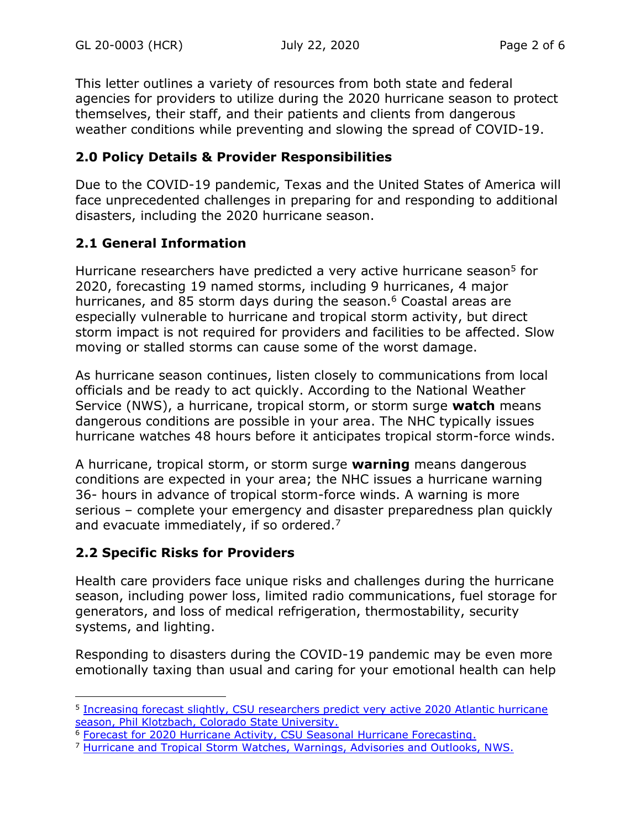This letter outlines a variety of resources from both state and federal agencies for providers to utilize during the 2020 hurricane season to protect themselves, their staff, and their patients and clients from dangerous weather conditions while preventing and slowing the spread of COVID-19.

#### **2.0 Policy Details & Provider Responsibilities**

Due to the COVID-19 pandemic, Texas and the United States of America will face unprecedented challenges in preparing for and responding to additional disasters, including the 2020 hurricane season.

### **2.1 General Information**

Hurricane researchers have predicted a very active hurricane season<sup>5</sup> for 2020, forecasting 19 named storms, including 9 hurricanes, 4 major hurricanes, and 85 storm days during the season.<sup>6</sup> Coastal areas are especially vulnerable to hurricane and tropical storm activity, but direct storm impact is not required for providers and facilities to be affected. Slow moving or stalled storms can cause some of the worst damage.

As hurricane season continues, listen closely to communications from local officials and be ready to act quickly. According to the National Weather Service (NWS), a hurricane, tropical storm, or storm surge **watch** means dangerous conditions are possible in your area. The NHC typically issues hurricane watches 48 hours before it anticipates tropical storm-force winds.

A hurricane, tropical storm, or storm surge **warning** means dangerous conditions are expected in your area; the NHC issues a hurricane warning 36- hours in advance of tropical storm-force winds. A warning is more serious – complete your emergency and disaster preparedness plan quickly and evacuate immediately, if so ordered.<sup>7</sup>

## **2.2 Specific Risks for Providers**

 $\overline{a}$ 

Health care providers face unique risks and challenges during the hurricane season, including power loss, limited radio communications, fuel storage for generators, and loss of medical refrigeration, thermostability, security systems, and lighting.

Responding to disasters during the COVID-19 pandemic may be even more emotionally taxing than usual and caring for your emotional health can help

<sup>&</sup>lt;sup>5</sup> Increasing forecast slightly, CSU researchers predict very active 2020 Atlantic hurricane [season, Phil Klotzbach, Colorado State University.](https://tropical.colostate.edu/2020/06/04/CSU-hurricane-seasonal-forecast.html)

<sup>&</sup>lt;sup>6</sup> [Forecast for 2020 Hurricane Activity, CSU Seasonal Hurricane Forecasting.](https://tropical.colostate.edu/forecasting.html)

<sup>&</sup>lt;sup>7</sup> [Hurricane and Tropical Storm Watches, Warnings, Advisories and Outlooks, NWS.](https://www.weather.gov/safety/hurricane-ww)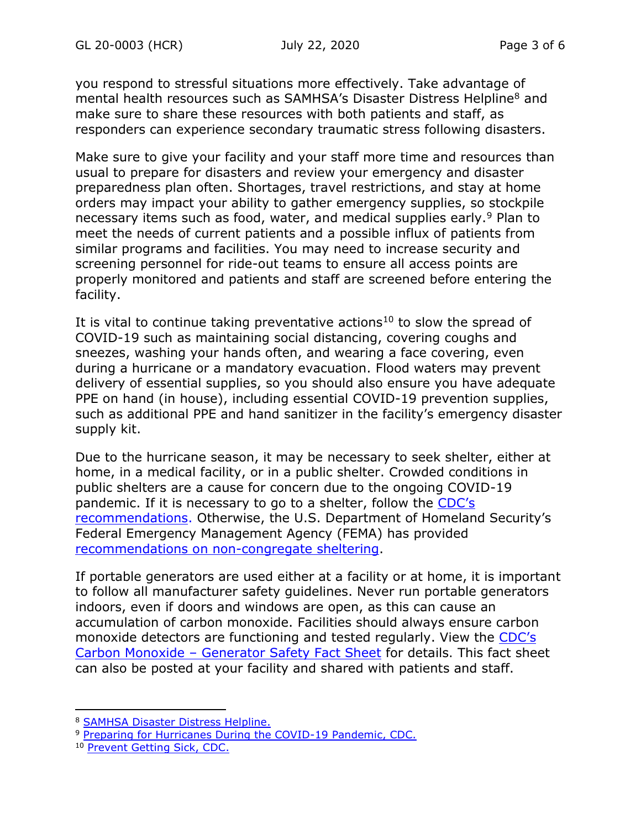you respond to stressful situations more effectively. Take advantage of mental health resources such as SAMHSA's Disaster Distress Helpline<sup>8</sup> and make sure to share these resources with both patients and staff, as responders can experience secondary traumatic stress following disasters.

Make sure to give your facility and your staff more time and resources than usual to prepare for disasters and review your emergency and disaster preparedness plan often. Shortages, travel restrictions, and stay at home orders may impact your ability to gather emergency supplies, so stockpile necessary items such as food, water, and medical supplies early.<sup>9</sup> Plan to meet the needs of current patients and a possible influx of patients from similar programs and facilities. You may need to increase security and screening personnel for ride-out teams to ensure all access points are properly monitored and patients and staff are screened before entering the facility.

It is vital to continue taking preventative actions<sup>10</sup> to slow the spread of COVID-19 such as maintaining social distancing, covering coughs and sneezes, washing your hands often, and wearing a face covering, even during a hurricane or a mandatory evacuation. Flood waters may prevent delivery of essential supplies, so you should also ensure you have adequate PPE on hand (in house), including essential COVID-19 prevention supplies, such as additional PPE and hand sanitizer in the facility's emergency disaster supply kit.

Due to the hurricane season, it may be necessary to seek shelter, either at home, in a medical facility, or in a public shelter. Crowded conditions in public shelters are a cause for concern due to the ongoing COVID-19 pandemic. If it is necessary to go to a shelter, follow the [CDC's](https://www.cdc.gov/disasters/hurricanes/covid-19/public-disaster-shelter-during-covid.html)  [recommendations.](https://www.cdc.gov/disasters/hurricanes/covid-19/public-disaster-shelter-during-covid.html) Otherwise, the U.S. Department of Homeland Security's Federal Emergency Management Agency (FEMA) has provided [recommendations on non-congregate sheltering.](https://www.fema.gov/news-release/2020/03/31/coronavirus-covid-19-pandemic-non-congregate-sheltering)

If portable generators are used either at a facility or at home, it is important to follow all manufacturer safety guidelines. Never run portable generators indoors, even if doors and windows are open, as this can cause an accumulation of carbon monoxide. Facilities should always ensure carbon monoxide detectors are functioning and tested regularly. View the [CDC's](https://www.cdc.gov/co/generatorsafetyfactsheet.html)  Carbon Monoxide – [Generator Safety Fact Sheet](https://www.cdc.gov/co/generatorsafetyfactsheet.html) for details. This fact sheet can also be posted at your facility and shared with patients and staff.

j

<sup>8</sup> [SAMHSA Disaster Distress Helpline.](https://www.samhsa.gov/find-help/disaster-distress-helpline)

<sup>&</sup>lt;sup>9</sup> [Preparing for Hurricanes During the COVID-19](https://www.cdc.gov/disasters/hurricanes/covid-19/prepare-for-hurricane.html) Pandemic, CDC.

<sup>10</sup> [Prevent Getting Sick, CDC.](https://www.cdc.gov/coronavirus/2019-ncov/prevent-getting-sick/index.html)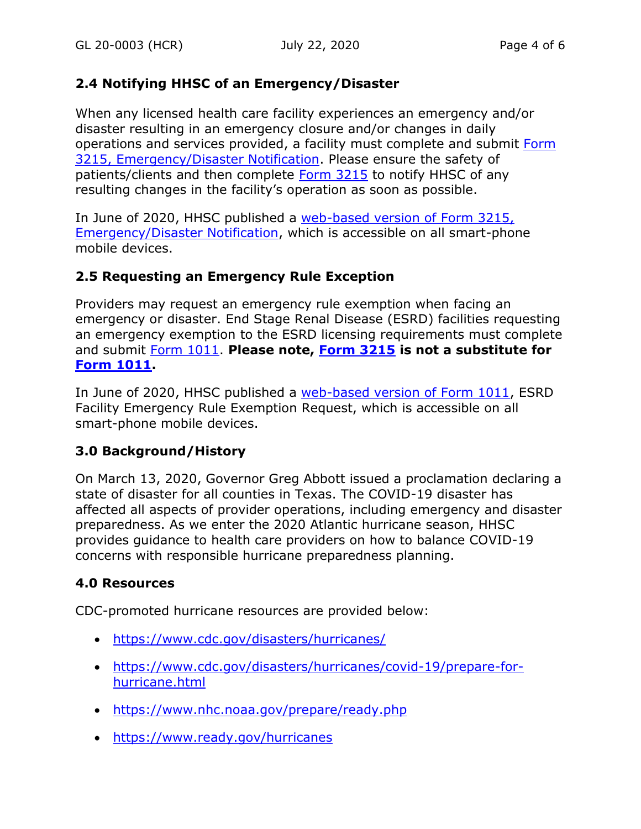### **2.4 Notifying HHSC of an Emergency/Disaster**

When any licensed health care facility experiences an emergency and/or disaster resulting in an emergency closure and/or changes in daily operations and services provided, a facility must complete and submit [Form](https://texashhs.secure.force.com/EMR3215/)  [3215, Emergency/Disaster Notification.](https://texashhs.secure.force.com/EMR3215/) Please ensure the safety of patients/clients and then complete [Form 3215](https://texashhs.secure.force.com/EMR3215/) to notify HHSC of any resulting changes in the facility's operation as soon as possible.

In June of 2020, HHSC published a web-based [version of Form 3215,](https://texashhs.secure.force.com/EMR3215/)  [Emergency/Disaster Notification,](https://texashhs.secure.force.com/EMR3215/) which is accessible on all smart-phone mobile devices.

### **2.5 Requesting an Emergency Rule Exception**

Providers may request an emergency rule exemption when facing an emergency or disaster. End Stage Renal Disease (ESRD) facilities requesting an emergency exemption to the ESRD licensing requirements must complete and submit [Form 1011.](https://texashhs.secure.force.com/EMR1011/) **Please note, [Form 3215](https://texashhs.secure.force.com/EMR3215/) is not a substitute for [Form 1011.](https://texashhs.secure.force.com/EMR1011/)**

In June of 2020, HHSC published a [web-based version of Form 1011,](https://texashhs.secure.force.com/EMR1011/) ESRD Facility Emergency Rule Exemption Request, which is accessible on all smart-phone mobile devices.

## **3.0 Background/History**

On March 13, 2020, Governor Greg Abbott issued a proclamation declaring a state of disaster for all counties in Texas. The COVID-19 disaster has affected all aspects of provider operations, including emergency and disaster preparedness. As we enter the 2020 Atlantic hurricane season, HHSC provides guidance to health care providers on how to balance COVID-19 concerns with responsible hurricane preparedness planning.

## **4.0 Resources**

CDC-promoted hurricane resources are provided below:

- <https://www.cdc.gov/disasters/hurricanes/>
- [https://www.cdc.gov/disasters/hurricanes/covid-19/prepare-for](https://www.cdc.gov/disasters/hurricanes/covid-19/prepare-for-hurricane.html)[hurricane.html](https://www.cdc.gov/disasters/hurricanes/covid-19/prepare-for-hurricane.html)
- <https://www.nhc.noaa.gov/prepare/ready.php>
- <https://www.ready.gov/hurricanes>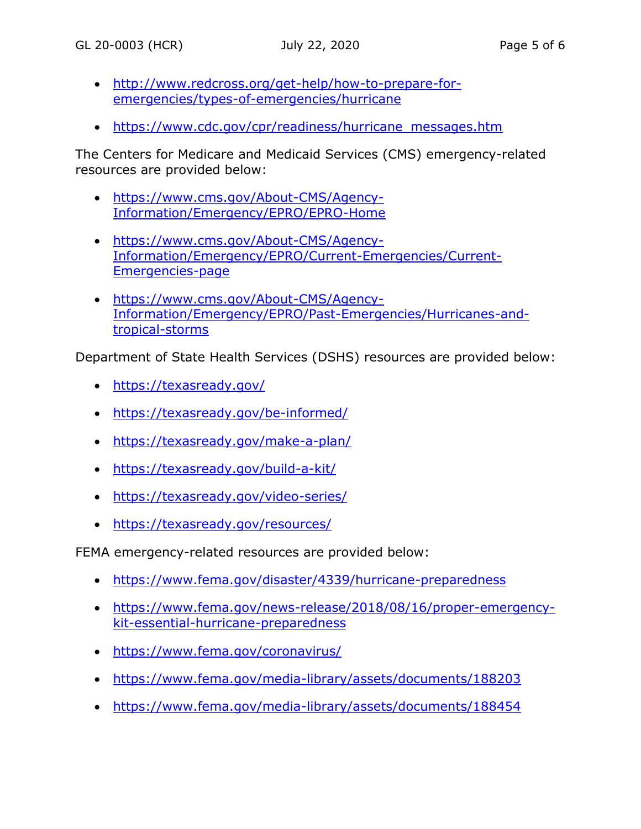- [http://www.redcross.org/get-help/how-to-prepare-for](http://www.redcross.org/get-help/how-to-prepare-for-emergencies/types-of-emergencies/hurricane)[emergencies/types-of-emergencies/hurricane](http://www.redcross.org/get-help/how-to-prepare-for-emergencies/types-of-emergencies/hurricane)
- [https://www.cdc.gov/cpr/readiness/hurricane\\_messages.htm](https://www.cdc.gov/cpr/readiness/hurricane_messages.htm)

The Centers for Medicare and Medicaid Services (CMS) emergency-related resources are provided below:

- [https://www.cms.gov/About-CMS/Agency-](https://www.cms.gov/About-CMS/Agency-Information/Emergency/EPRO/EPRO-Home)[Information/Emergency/EPRO/EPRO-Home](https://www.cms.gov/About-CMS/Agency-Information/Emergency/EPRO/EPRO-Home)
- [https://www.cms.gov/About-CMS/Agency-](https://www.cms.gov/About-CMS/Agency-Information/Emergency/EPRO/Current-Emergencies/Current-Emergencies-page)[Information/Emergency/EPRO/Current-Emergencies/Current-](https://www.cms.gov/About-CMS/Agency-Information/Emergency/EPRO/Current-Emergencies/Current-Emergencies-page)[Emergencies-page](https://www.cms.gov/About-CMS/Agency-Information/Emergency/EPRO/Current-Emergencies/Current-Emergencies-page)
- [https://www.cms.gov/About-CMS/Agency-](https://www.cms.gov/About-CMS/Agency-Information/Emergency/EPRO/Past-Emergencies/Hurricanes-and-tropical-storms)[Information/Emergency/EPRO/Past-Emergencies/Hurricanes-and](https://www.cms.gov/About-CMS/Agency-Information/Emergency/EPRO/Past-Emergencies/Hurricanes-and-tropical-storms)[tropical-storms](https://www.cms.gov/About-CMS/Agency-Information/Emergency/EPRO/Past-Emergencies/Hurricanes-and-tropical-storms)

Department of State Health Services (DSHS) resources are provided below:

- <https://texasready.gov/>
- <https://texasready.gov/be-informed/>
- <https://texasready.gov/make-a-plan/>
- <https://texasready.gov/build-a-kit/>
- <https://texasready.gov/video-series/>
- https://texasready.gov/resources/

FEMA emergency-related resources are provided below:

- <https://www.fema.gov/disaster/4339/hurricane-preparedness>
- [https://www.fema.gov/news-release/2018/08/16/proper-emergency](https://www.fema.gov/news-release/2018/08/16/proper-emergency-kit-essential-hurricane-preparedness)[kit-essential-hurricane-preparedness](https://www.fema.gov/news-release/2018/08/16/proper-emergency-kit-essential-hurricane-preparedness)
- <https://www.fema.gov/coronavirus/>
- <https://www.fema.gov/media-library/assets/documents/188203>
- <https://www.fema.gov/media-library/assets/documents/188454>